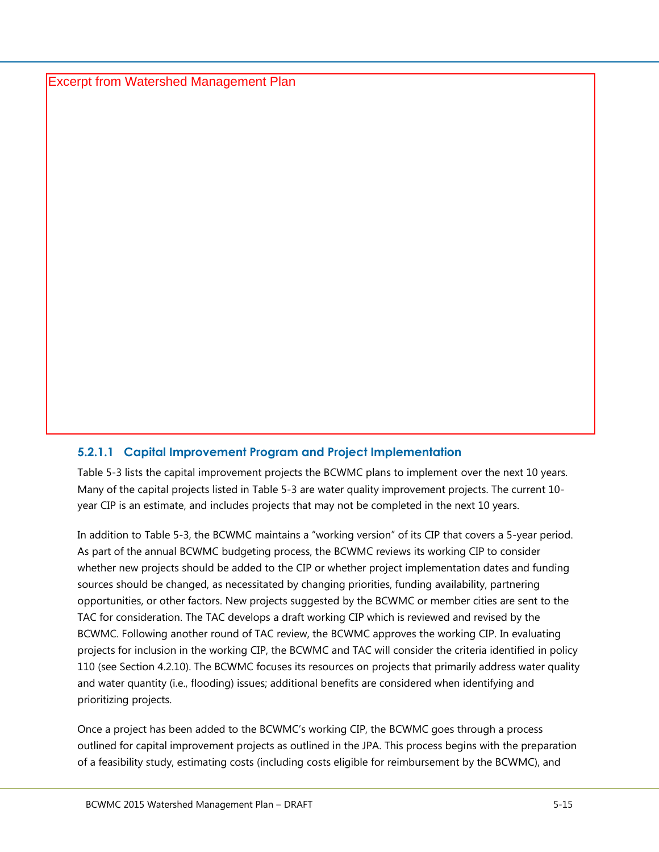Excerpt from Watershed Management Plan

## **5.2.1.1 Capital Improvement Program and Project Implementation**

[Table 5-3](#page--1-0) lists the capital improvement projects the BCWMC plans to implement over the next 10 years. Many of the capital projects listed in [Table 5-3](#page--1-0) are water quality improvement projects. The current 10 year CIP is an estimate, and includes projects that may not be completed in the next 10 years.

In addition to [Table 5-3](#page--1-0), the BCWMC maintains a "working version" of its CIP that covers a 5-year period. As part of the annual BCWMC budgeting process, the BCWMC reviews its working CIP to consider whether new projects should be added to the CIP or whether project implementation dates and funding sources should be changed, as necessitated by changing priorities, funding availability, partnering opportunities, or other factors. New projects suggested by the BCWMC or member cities are sent to the TAC for consideration. The TAC develops a draft working CIP which is reviewed and revised by the BCWMC. Following another round of TAC review, the BCWMC approves the working CIP. In evaluating projects for inclusion in the working CIP, the BCWMC and TAC will consider the criteria identified in policy 110 (see Section 4.2.10). The BCWMC focuses its resources on projects that primarily address water quality and water quantity (i.e., flooding) issues; additional benefits are considered when identifying and prioritizing projects.

Once a project has been added to the BCWMC's working CIP, the BCWMC goes through a process outlined for capital improvement projects as outlined in the JPA. This process begins with the preparation of a feasibility study, estimating costs (including costs eligible for reimbursement by the BCWMC), and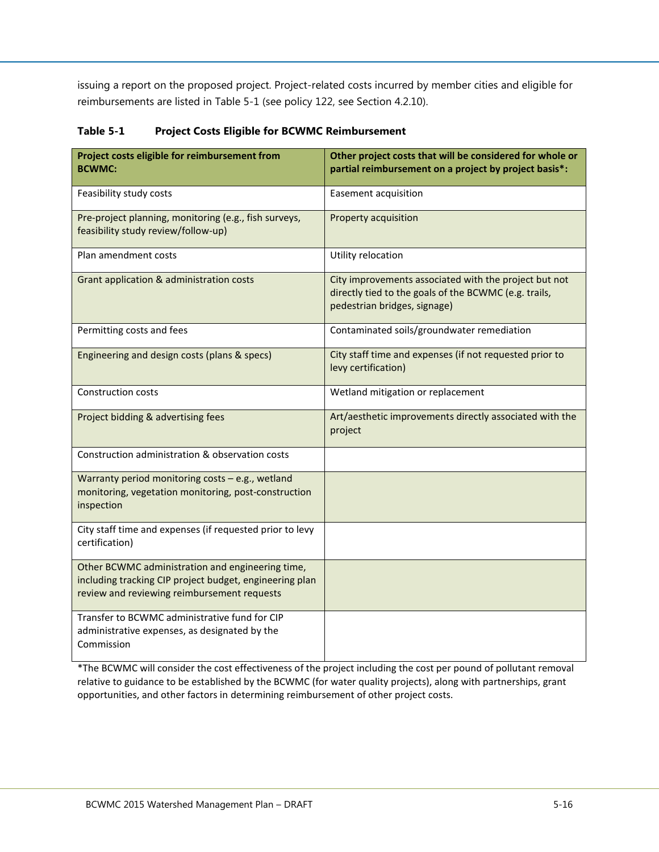issuing a report on the proposed project. Project-related costs incurred by member cities and eligible for reimbursements are listed in [Table 5-1](#page-1-0) (see policy 122, see Section 4.2.10).

| Project costs eligible for reimbursement from<br><b>BCWMC:</b>                                                                                             | Other project costs that will be considered for whole or<br>partial reimbursement on a project by project basis*:                              |
|------------------------------------------------------------------------------------------------------------------------------------------------------------|------------------------------------------------------------------------------------------------------------------------------------------------|
| Feasibility study costs                                                                                                                                    | Easement acquisition                                                                                                                           |
| Pre-project planning, monitoring (e.g., fish surveys,<br>feasibility study review/follow-up)                                                               | Property acquisition                                                                                                                           |
| Plan amendment costs                                                                                                                                       | Utility relocation                                                                                                                             |
| Grant application & administration costs                                                                                                                   | City improvements associated with the project but not<br>directly tied to the goals of the BCWMC (e.g. trails,<br>pedestrian bridges, signage) |
| Permitting costs and fees                                                                                                                                  | Contaminated soils/groundwater remediation                                                                                                     |
| Engineering and design costs (plans & specs)                                                                                                               | City staff time and expenses (if not requested prior to<br>levy certification)                                                                 |
| <b>Construction costs</b>                                                                                                                                  | Wetland mitigation or replacement                                                                                                              |
| Project bidding & advertising fees                                                                                                                         | Art/aesthetic improvements directly associated with the<br>project                                                                             |
| Construction administration & observation costs                                                                                                            |                                                                                                                                                |
| Warranty period monitoring costs - e.g., wetland<br>monitoring, vegetation monitoring, post-construction<br>inspection                                     |                                                                                                                                                |
| City staff time and expenses (if requested prior to levy<br>certification)                                                                                 |                                                                                                                                                |
| Other BCWMC administration and engineering time,<br>including tracking CIP project budget, engineering plan<br>review and reviewing reimbursement requests |                                                                                                                                                |
| Transfer to BCWMC administrative fund for CIP<br>administrative expenses, as designated by the<br>Commission                                               |                                                                                                                                                |

<span id="page-1-0"></span>**Table 5-1 Project Costs Eligible for BCWMC Reimbursement**

\*The BCWMC will consider the cost effectiveness of the project including the cost per pound of pollutant removal relative to guidance to be established by the BCWMC (for water quality projects), along with partnerships, grant opportunities, and other factors in determining reimbursement of other project costs.